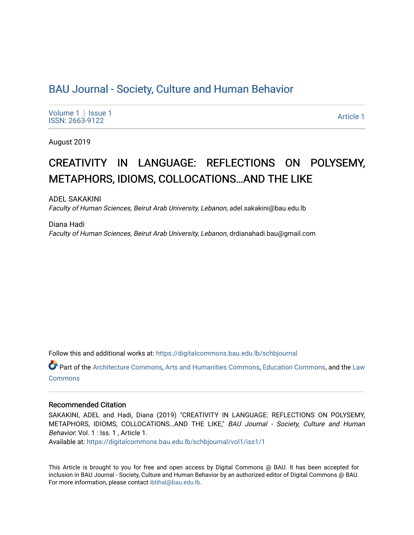# [BAU Journal - Society, Culture and Human Behavior](https://digitalcommons.bau.edu.lb/schbjournal)

[Volume 1](https://digitalcommons.bau.edu.lb/schbjournal/vol1) | Issue 1 Produce the International Seconds of the International Seconds of the International Article 1<br>ISSN: 2663-9122

August 2019

# CREATIVITY IN LANGUAGE: REFLECTIONS ON POLYSEMY, METAPHORS, IDIOMS, COLLOCATIONS…AND THE LIKE

ADEL SAKAKINI Faculty of Human Sciences, Beirut Arab University, Lebanon, adel.sakakini@bau.edu.lb

Diana Hadi Faculty of Human Sciences, Beirut Arab University, Lebanon, drdianahadi.bau@gmail.com

Follow this and additional works at: [https://digitalcommons.bau.edu.lb/schbjournal](https://digitalcommons.bau.edu.lb/schbjournal?utm_source=digitalcommons.bau.edu.lb%2Fschbjournal%2Fvol1%2Fiss1%2F1&utm_medium=PDF&utm_campaign=PDFCoverPages)

Part of the [Architecture Commons](http://network.bepress.com/hgg/discipline/773?utm_source=digitalcommons.bau.edu.lb%2Fschbjournal%2Fvol1%2Fiss1%2F1&utm_medium=PDF&utm_campaign=PDFCoverPages), [Arts and Humanities Commons](http://network.bepress.com/hgg/discipline/438?utm_source=digitalcommons.bau.edu.lb%2Fschbjournal%2Fvol1%2Fiss1%2F1&utm_medium=PDF&utm_campaign=PDFCoverPages), [Education Commons,](http://network.bepress.com/hgg/discipline/784?utm_source=digitalcommons.bau.edu.lb%2Fschbjournal%2Fvol1%2Fiss1%2F1&utm_medium=PDF&utm_campaign=PDFCoverPages) and the [Law](http://network.bepress.com/hgg/discipline/578?utm_source=digitalcommons.bau.edu.lb%2Fschbjournal%2Fvol1%2Fiss1%2F1&utm_medium=PDF&utm_campaign=PDFCoverPages)  **[Commons](http://network.bepress.com/hgg/discipline/578?utm_source=digitalcommons.bau.edu.lb%2Fschbjournal%2Fvol1%2Fiss1%2F1&utm_medium=PDF&utm_campaign=PDFCoverPages)** 

### Recommended Citation

SAKAKINI, ADEL and Hadi, Diana (2019) "CREATIVITY IN LANGUAGE: REFLECTIONS ON POLYSEMY, METAPHORS, IDIOMS, COLLOCATIONS...AND THE LIKE," BAU Journal - Society, Culture and Human Behavior: Vol. 1 : Iss. 1, Article 1.

Available at: [https://digitalcommons.bau.edu.lb/schbjournal/vol1/iss1/1](https://digitalcommons.bau.edu.lb/schbjournal/vol1/iss1/1?utm_source=digitalcommons.bau.edu.lb%2Fschbjournal%2Fvol1%2Fiss1%2F1&utm_medium=PDF&utm_campaign=PDFCoverPages)

This Article is brought to you for free and open access by Digital Commons @ BAU. It has been accepted for inclusion in BAU Journal - Society, Culture and Human Behavior by an authorized editor of Digital Commons @ BAU. For more information, please contact [ibtihal@bau.edu.lb.](mailto:ibtihal@bau.edu.lb)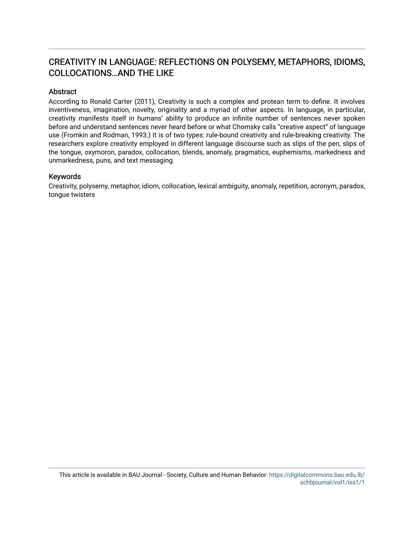# CREATIVITY IN LANGUAGE: REFLECTIONS ON POLYSEMY, METAPHORS, IDIOMS, COLLOCATIONS…AND THE LIKE

### Abstract

According to Ronald Carter (2011), Creativity is such a complex and protean term to define. It involves inventiveness, imagination, novelty, originality and a myriad of other aspects. In language, in particular, creativity manifests itself in humans' ability to produce an infinite number of sentences never spoken before and understand sentences never heard before or what Chomsky calls "creative aspect" of language use (Fromkin and Rodman, 1993.) It is of two types: rule-bound creativity and rule-breaking creativity. The researchers explore creativity employed in different language discourse such as slips of the pen, slips of the tongue, oxymoron, paradox, collocation, blends, anomaly, pragmatics, euphemisms, markedness and unmarkedness, puns, and text messaging.

### Keywords

Creativity, polysemy, metaphor, idiom, collocation, lexical ambiguity, anomaly, repetition, acronym, paradox, tongue twisters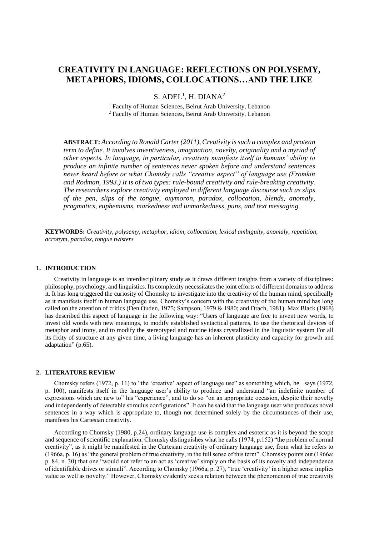## **CREATIVITY IN LANGUAGE: REFLECTIONS ON POLYSEMY, METAPHORS, IDIOMS, COLLOCATIONS…AND THE LIKE**

 $S.$  ADEL<sup>1</sup>, H. DIANA<sup>2</sup>

<sup>1</sup> Faculty of Human Sciences, Beirut Arab University, Lebanon <sup>2</sup> Faculty of Human Sciences, Beirut Arab University, Lebanon

**ABSTRACT:** *According to Ronald Carter (2011), Creativity is such a complex and protean term to define. It involves inventiveness, imagination, novelty, originality and a myriad of other aspects. In language, in particular, creativity manifests itself in humans' ability to produce an infinite number of sentences never spoken before and understand sentences never heard before or what Chomsky calls "creative aspect" of language use (Fromkin and Rodman, 1993.) It is of two types: rule-bound creativity and rule-breaking creativity. The researchers explore creativity employed in different language discourse such as slips of the pen, slips of the tongue, oxymoron, paradox, collocation, blends, anomaly, pragmatics, euphemisms, markedness and unmarkedness, puns, and text messaging.*

**KEYWORDS:** *Creativity, polysemy, metaphor, idiom, collocation, lexical ambiguity, anomaly, repetition, acronym, paradox, tongue twisters*

#### **1. INTRODUCTION**

Creativity in language is an interdisciplinary study as it draws different insights from a variety of disciplines: philosophy, psychology, and linguistics. Its complexity necessitates the joint efforts of different domains to address it. It has long triggered the curiosity of Chomsky to investigate into the creativity of the human mind, specifically as it manifests itself in human language use. Chomsky's concern with the creativity of the human mind has long called on the attention of critics (Den Ouden, 1975; Sampson, 1979 & 1980; and Drach, 1981). Max Black (1968) has described this aspect of language in the following way: "Users of language are free to invent new words, to invest old words with new meanings, to modify established syntactical patterns, to use the rhetorical devices of metaphor and irony, and to modify the stereotyped and routine ideas crystallized in the linguistic system For all its fixity of structure at any given time, a living language has an inherent plasticity and capacity for growth and adaptation" (p.65).

#### **2. LITERATURE REVIEW**

Chomsky refers (1972, p. 11) to "the 'creative' aspect of language use" as something which, he says (1972, p. 100), manifests itself in the language user's ability to produce and understand "an indefinite number of expressions which are new to" his "experience", and to do so "on an appropriate occasion, despite their novelty and independently of detectable stimulus configurations". It can be said that the language user who produces novel sentences in a way which is appropriate to, though not determined solely by the circumstances of their use, manifests his Cartesian creativity.

According to Chomsky (1980, p.24), ordinary language use is complex and esoteric as it is beyond the scope and sequence of scientific explanation. Chomsky distinguishes what he calls (1974, p.152) "the problem of normal creativity", as it might be manifested in the Cartesian creativity of ordinary language use, from what he refers to (1966a, p. 16) as "the general problem of true creativity, in the full sense of this term". Chomsky points out (1966a: p. 84, n. 30) that one "would not refer to an act as 'creative' simply on the basis of its novelty and independence of identifiable drives or stimuli". According to Chomsky (1966a, p. 27), "true 'creativity' in a higher sense implies value as well as novelty." However, Chomsky evidently sees a relation between the phenomenon of true creativity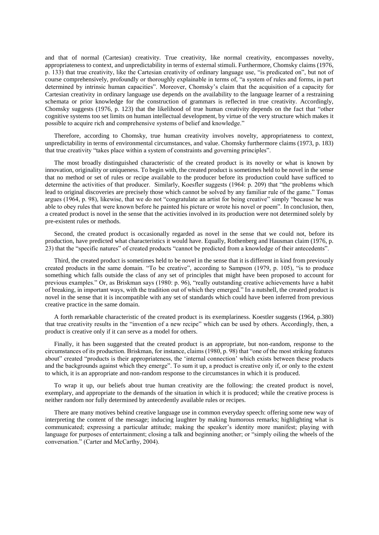and that of normal (Cartesian) creativity. True creativity, like normal creativity, encompasses novelty, appropriateness to context, and unpredictability in terms of external stimuli. Furthermore, Chomsky claims (1976, p. 133) that true creativity, like the Cartesian creativity of ordinary language use, "is predicated on", but not of course comprehensively, profoundly or thoroughly explainable in terms of, "a system of rules and forms, in part determined by intrinsic human capacities". Moreover, Chomsky's claim that the acquisition of a capacity for Cartesian creativity in ordinary language use depends on the availability to the language learner of a restraining schemata or prior knowledge for the construction of grammars is reflected in true creativity. Accordingly, Chomsky suggests (1976, p. 123) that the likelihood of true human creativity depends on the fact that "other cognitive systems too set limits on human intellectual development, by virtue of the very structure which makes it possible to acquire rich and comprehensive systems of belief and knowledge."

Therefore, according to Chomsky, true human creativity involves novelty, appropriateness to context, unpredictability in terms of environmental circumstances, and value. Chomsky furthermore claims (1973, p. 183) that true creativity "takes place within a system of constraints and governing principles".

The most broadly distinguished characteristic of the created product is its novelty or what is known by innovation, originality or uniqueness. To begin with, the created product is sometimes held to be novel in the sense that no method or set of rules or recipe available to the producer before its production could have sufficed to determine the activities of that producer. Similarly, Koesfler suggests (1964: p. 209) that "the problems which lead to original discoveries are precisely those which cannot be solved by any familiar rule of the game." Tomas argues (1964, p. 98), likewise, that we do not "congratulate an artist for being creative" simply "because he was able to obey rules that were known before he painted his picture or wrote his novel or poem". In conclusion, then, a created product is novel in the sense that the activities involved in its production were not determined solely by pre-existent rules or methods.

Second, the created product is occasionally regarded as novel in the sense that we could not, before its production, have predicted what characteristics it would have. Equally, Rothenberg and Hausman claim (1976, p. 23) that the "specific natures" of created products "cannot be predicted from a knowledge of their antecedents".

Third, the created product is sometimes held to be novel in the sense that it is different in kind from previously created products in the same domain. "To be creative", according to Sampson (1979, p. 105), "is to produce something which falls outside the class of any set of principles that might have been proposed to account for previous examples." Or, as Briskman says (1980: p. 96), "really outstanding creative achievements have a habit of breaking, in important ways, with the tradition out of which they emerged." In a nutshell, the created product is novel in the sense that it is incompatible with any set of standards which could have been inferred from previous creative practice in the same domain.

A forth remarkable characteristic of the created product is its exemplariness. Koestler suggests (1964, p.380) that true creativity results in the "invention of a new recipe" which can be used by others. Accordingly, then, a product is creative only if it can serve as a model for others.

Finally, it has been suggested that the created product is an appropriate, but non-random, response to the circumstances of its production. Briskman, for instance, claims (1980, p. 98) that "one of the most striking features about" created "products is their appropriateness, the 'internal connection' which exists between these products and the backgrounds against which they emerge". To sum it up, a product is creative only if, or only to the extent to which, it is an appropriate and non-random response to the circumstances in which it is produced.

To wrap it up, our beliefs about true human creativity are the following: the created product is novel, exemplary, and appropriate to the demands of the situation in which it is produced; while the creative process is neither random nor fully determined by antecedently available rules or recipes.

There are many motives behind creative language use in common everyday speech: offering some new way of interpreting the content of the message; inducing laughter by making humorous remarks; highlighting what is communicated; expressing a particular attitude; making the speaker's identity more manifest; playing with language for purposes of entertainment; closing a talk and beginning another; or "simply oiling the wheels of the conversation." (Carter and McCarthy, 2004).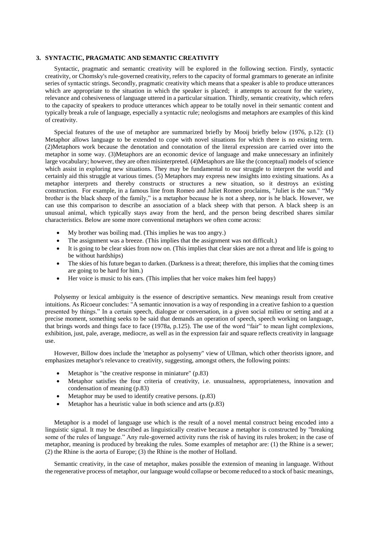#### **3. SYNTACTIC, PRAGMATIC AND SEMANTIC CREATIVITY**

Syntactic, pragmatic and semantic creativity will be explored in the following section. Firstly, syntactic creativity, or Chomsky's rule-governed creativity, refers to the capacity of formal grammars to generate an infinite series of syntactic strings. Secondly, pragmatic creativity which means that a speaker is able to produce utterances which are appropriate to the situation in which the speaker is placed; it attempts to account for the variety, relevance and cohesiveness of language uttered in a particular situation. Thirdly, semantic creativity, which refers to the capacity of speakers to produce utterances which appear to be totally novel in their semantic content and typically break a rule of language, especially a syntactic rule; neologisms and metaphors are examples of this kind of creativity.

Special features of the use of metaphor are summarized briefly by Mooij briefly below (1976, p.12): (1) Metaphor allows language to be extended to cope with novel situations for which there is no existing term. (2)Metaphors work because the denotation and connotation of the literal expression are carried over into the metaphor in some way. (3)Metaphors are an economic device of language and make unnecessary an infinitely large vocabulary; however, they are often misinterpreted. (4)Metaphors are like the (conceptual) models of science which assist in exploring new situations. They may be fundamental to our struggle to interpret the world and certainly aid this struggle at various times. (5) Metaphors may express new insights into existing situations. As a metaphor interprets and thereby constructs or structures a new situation, so it destroys an existing construction. For example, in a famous line from Romeo and Juliet Romeo proclaims, "Juliet is the sun." "My brother is the black sheep of the family," is a metaphor because he is not a sheep, nor is he black. However, we can use this comparison to describe an association of a black sheep with that person. A black sheep is an unusual [animal,](https://animals.net/) which typically stays away from the herd, and the person being described shares similar characteristics. Below are some more conventional metaphors we often come across:

- My brother was boiling mad. (This implies he was too angry.)
- The assignment was a breeze. (This implies that the assignment was not difficult.)
- It is going to be clear skies from now on. (This implies that clear skies are not a threat and life is going to be without hardships)
- The skies of his future began to darken. (Darkness is a threat; therefore, this implies that the coming times are going to be hard for him.)
- Her [voice](https://literarydevices.net/voice/) is music to his ears. (This implies that her voice makes him feel happy)

Polysemy or lexical ambiguity is the essence of descriptive semantics. New meanings result from creative intuitions. As Ricoeur concludes: "A semantic innovation is a way of responding in a creative fashion to a question presented by things." In a certain speech, dialogue or conversation, in a given social milieu or setting and at a precise moment, something seeks to be said that demands an operation of speech, speech working on language, that brings words and things face to face (1978a, p.125). The use of the word "fair" to mean light complexions, exhibition, just, pale, average, mediocre, as well as in the expression fair and square reflects creativity in language use.

However, Billow does include the 'metaphor as polysemy" view of Ullman, which other theorists ignore, and emphasizes metaphor's relevance to creativity, suggesting, amongst others, the following points:

- Metaphor is "the creative response in miniature" (p.83)
- Metaphor satisfies the four criteria of creativity, i.e. unusualness, appropriateness, innovation and condensation of meaning (p.83)
- Metaphor may be used to identify creative persons. (p.83)
- Metaphor has a heuristic value in both science and arts (p.83)

Metaphor is a model of language use which is the result of a novel mental construct being encoded into a linguistic signal. It may be described as linguistically creative because a metaphor is constructed by "breaking some of the rules of language." Any rule-governed activity runs the risk of having its rules broken; in the case of metaphor, meaning is produced by breaking the rules. Some examples of metaphor are: (1) the Rhine is a sewer; (2) the Rhine is the aorta of Europe; (3) the Rhine is the mother of Holland.

Semantic creativity, in the case of metaphor, makes possible the extension of meaning in language. Without the regenerative process of metaphor, our language would collapse or become reduced to a stock of basic meanings,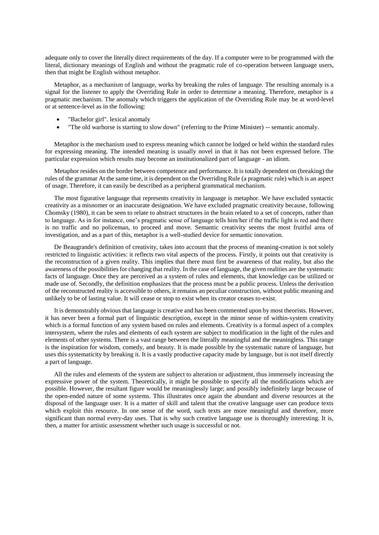adequate only to cover the literally direct requirements of the day. If a computer were to be programmed with the literal, dictionary meanings of English and without the pragmatic rule of co-operation between language users, then that might be English without metaphor.

Metaphor, as a mechanism of language, works by breaking the rules of language. The resulting anomaly is a signal for the listener to apply the Overriding Rule in order to determine a meaning. Therefore, metaphor is a pragmatic mechanism. The anomaly which triggers the application of the Overriding Rule may be at word-level or at sentence-level as in the following:

- "Bachelor girl". lexical anomaly
- "The old warhorse is starting to slow down" (referring to the Prime Minister) -- semantic anomaly.

Metaphor is the mechanism used to express meaning which cannot be lodged or held within the standard rules for expressing meaning. The intended meaning is usually novel in that it has not been expressed before. The particular expression which results may become an institutionalized part of language - an idiom.

Metaphor resides on the border between competence and performance. It is totally dependent on (breaking) the rules of the grammar At the same time, it is dependent on the Overriding Rule (a pragmatic rule) which is an aspect of usage. Therefore, it can easily be described as a peripheral grammatical mechanism.

The most figurative language that represents creativity in language is metaphor. We have excluded syntactic creativity as a misnomer or an inaccurate designation. We have excluded pragmatic creativity because, following Chomsky (1980), it can be seen to relate to abstract structures in the brain related to a set of concepts, rather than to language. As in for instance, one's pragmatic sense of language tells him/her if the traffic light is red and there is no traffic and no policeman, to proceed and move. Semantic creativity seems the most fruitful area of investigation, and as a part of this, metaphor is a well-studied device for semantic innovation.

De Beaugrande's definition of creativity, takes into account that the process of meaning-creation is not solely restricted to linguistic activities: it reflects two vital aspects of the process. Firstly, it points out that creativity is the reconstruction of a given reality. This implies that there must first be awareness of that reality, but also the awareness of the possibilities for changing that reality. In the case of language, the given realities are the systematic facts of language. Once they are perceived as a system of rules and elements, that knowledge can be utilized or made use of. Secondly, the definition emphasizes that the process must be a public process. Unless the derivation of the reconstructed reality is accessible to others, it remains an peculiar construction, without public meaning and unlikely to be of lasting value. It will cease or stop to exist when its creator ceases to-exist.

It is demonstrably obvious that language is creative and has been commented upon by most theorists. However, it has never been a formal part of linguistic description, except in the minor sense of within-system creativity which is a formal function of any system based on rules and elements. Creativity is a formal aspect of a complex intersystem, where the rules and elements of each system are subject to modification in the light of the rules and elements of other systems. There is a vast range between the literally meaningful and the meaningless. This range is the inspiration for wisdom, comedy, and beauty. It is made possible by the systematic nature of language, but uses this systematicity by breaking it. It is a vastly productive capacity made by language, but is not itself directly a part of language.

All the rules and elements of the system are subject to alteration or adjustment, thus immensely increasing the expressive power of the system. Theoretically, it might be possible to specify all the modifications which are possible. However, the resultant figure would be meaninglessly large; and possibly indefinitely large because of the open-ended nature of some systems. This illustrates once again the abundant and diverse resources at the disposal of the language user. It is a matter of skill and talent that the creative language user can produce texts which exploit this resource. In one sense of the word, such texts are more meaningful and therefore, more significant than normal every-day uses. That is why such creative language use is thoroughly interesting. It is, then, a matter for artistic assessment whether such usage is successful or not.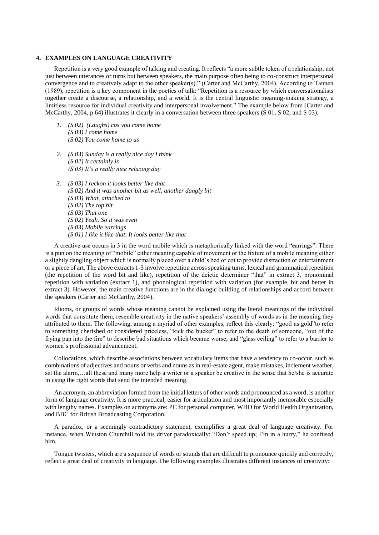#### **4. EXAMPLES ON LANGUAGE CREATIVITY**

Repetition is a very good example of talking and creating. It reflects "a more subtle token of a relationship, not just between utterances or turns but between speakers, the main purpose often being to co-construct interpersonal convergence and to creatively adapt to the other speaker(s)." (Carter and McCarthy, 2004). According to Tannen (1989), repetition is a key component in the poetics of talk: "Repetition is a resource by which conversationalists together create a discourse, a relationship, and a world. It is the central linguistic meaning-making strategy, a limitless resource for individual creativity and interpersonal involvement." The example below from (Carter and McCarthy, 2004, p.64) illustrates it clearly in a conversation between three speakers (S 01, S 02, and S 03):

- *1. (S 02) (Laughs) cos you come home (S 03) I come home (S 02) You come home to us*
- *2. (S 03) Sunday is a really nice day I think (S 02) It certainly is (S 03) It's a really nice relaxing day*
- *3. (S 03) I reckon it looks better like that (S 02) And it was another bit as well, another dangly bit (S 03) What, attached to (S 02) The top bit (S 03) That one (S 02) Yeah. So it was even (S 03) Mobile earrings (S 01) I like it like that. It looks better like that*

A creative use occurs in 3 in the word mobile which is metaphorically linked with the word "earrings". There is a pun on the meaning of "mobile" either meaning capable of movement or the fixture of a mobile meaning either a slightly dangling object which is normally placed over a child's bed or cot to provide distraction or entertainment or a piece of art. The above extracts 1-3 involve repetition across speaking turns, lexical and grammatical repetition (the repetition of the word bit and like), repetition of the deictic determiner "that" in extract 3, pronominal repetition with variation (extract 1), and phonological repetition with variation (for example, bit and better in extract 3). However, the main creative functions are in the dialogic building of relationships and accord between the speakers (Carter and McCarthy, 2004).

Idioms, or groups of words whose meaning cannot be explained using the literal meanings of the individual words that constitute them, resemble creativity in the native speakers' assembly of words as in the meaning they attributed to them. The following, among a myriad of other examples, reflect this clearly: "good as gold"to refer to something cherished or considered priceless, "kick the bucket" to refer to the death of someone, "out of the frying pan into the fire" to describe bad situations which became worse, and "glass ceiling" to refer to a barrier to women's professional advancement.

Collocations, which describe associations between vocabulary items that have a tendency to co-occur, such as combinations of adjectives and nouns or verbs and nouns as in real-estate agent, make mistakes, inclement weather, set the alarm,…all these and many more help a writer or a speaker be creative in the sense that he/she is accurate in using the right words that send the intended meaning.

An acronym, an abbreviation formed from the initial letters of other words and pronounced as a word, is another form of language creativity. It is more practical, easier for articulation and most importantly memorable especially with lengthy names. Examples on acronyms are: PC for personal computer, WHO for World Health Organization, and BBC for British Broadcasting Corporation.

A paradox, or a seemingly contradictory statement, exemplifies a great deal of language creativity. For instance, when Winston Churchill told his driver paradoxically: "Don't speed up; I'm in a hurry," he confused him.

Tongue twisters, which are a sequence of words or sounds that are difficult to pronounce quickly and correctly, reflect a great deal of creativity in language. The following examples illustrates different instances of creativity: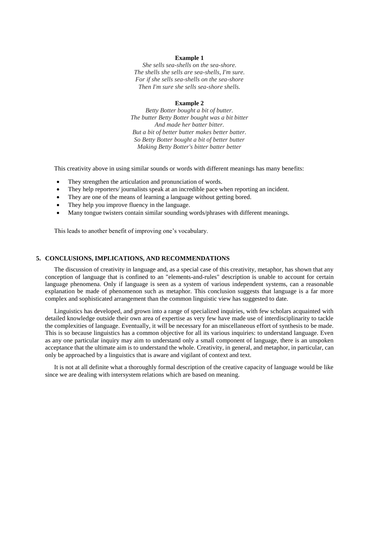#### **Example 1**

*She sells sea-shells on the sea-shore. The shells she sells are sea-shells, I'm sure. For if she sells sea-shells on the sea-shore Then I'm sure she sells sea-shore shells.*

#### **Example 2**

*Betty Botter bought a bit of butter. The butter Betty Botter bought was a bit bitter And made her batter bitter. But a bit of better butter makes better batter. So Betty Botter bought a bit of better butter Making Betty Botter's bitter batter better*

This creativity above in using similar sounds or words with different meanings has many benefits:

- They strengthen the articulation and pronunciation of words.
- They help reporters/ journalists speak at an incredible pace when reporting an incident.
- They are one of the means of learning a language without getting bored.
- They help you improve fluency in the language.
- Many tongue twisters contain similar sounding words/phrases with different meanings.

This leads to another benefit of improving one's vocabulary.

#### **5. CONCLUSIONS, IMPLICATIONS, AND RECOMMENDATIONS**

The discussion of creativity in language and, as a special case of this creativity, metaphor, has shown that any conception of language that is confined to an "elements-and-rules" description is unable to account for certain language phenomena. Only if language is seen as a system of various independent systems, can a reasonable explanation be made of phenomenon such as metaphor. This conclusion suggests that language is a far more complex and sophisticated arrangement than the common linguistic view has suggested to date.

Linguistics has developed, and grown into a range of specialized inquiries, with few scholars acquainted with detailed knowledge outside their own area of expertise as very few have made use of interdisciplinarity to tackle the complexities of language. Eventually, it will be necessary for an miscellaneous effort of synthesis to be made. This is so because linguistics has a common objective for all its various inquiries: to understand language. Even as any one particular inquiry may aim to understand only a small component of language, there is an unspoken acceptance that the ultimate aim is to understand the whole. Creativity, in general, and metaphor, in particular, can only be approached by a linguistics that is aware and vigilant of context and text.

It is not at all definite what a thoroughly formal description of the creative capacity of language would be like since we are dealing with intersystem relations which are based on meaning.